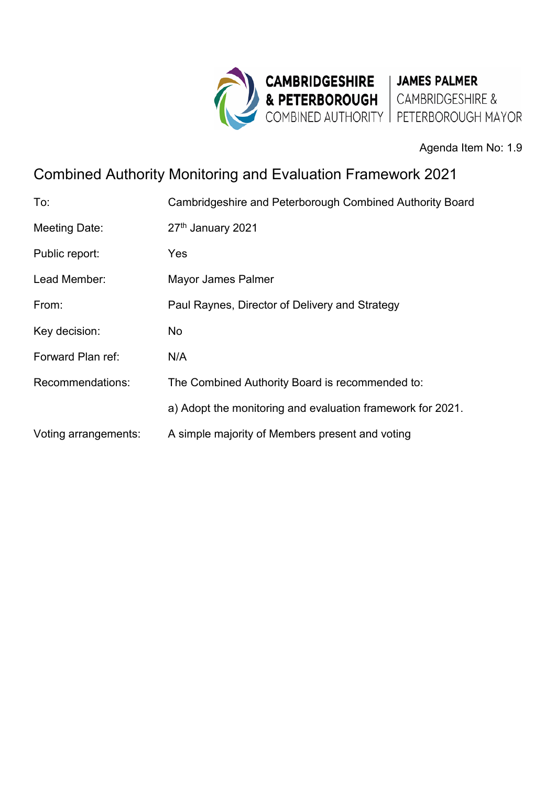

Agenda Item No: 1.9

# Combined Authority Monitoring and Evaluation Framework 2021

| To:                  | Cambridgeshire and Peterborough Combined Authority Board   |
|----------------------|------------------------------------------------------------|
| <b>Meeting Date:</b> | 27th January 2021                                          |
| Public report:       | Yes                                                        |
| Lead Member:         | Mayor James Palmer                                         |
| From:                | Paul Raynes, Director of Delivery and Strategy             |
| Key decision:        | No.                                                        |
| Forward Plan ref:    | N/A                                                        |
| Recommendations:     | The Combined Authority Board is recommended to:            |
|                      | a) Adopt the monitoring and evaluation framework for 2021. |
| Voting arrangements: | A simple majority of Members present and voting            |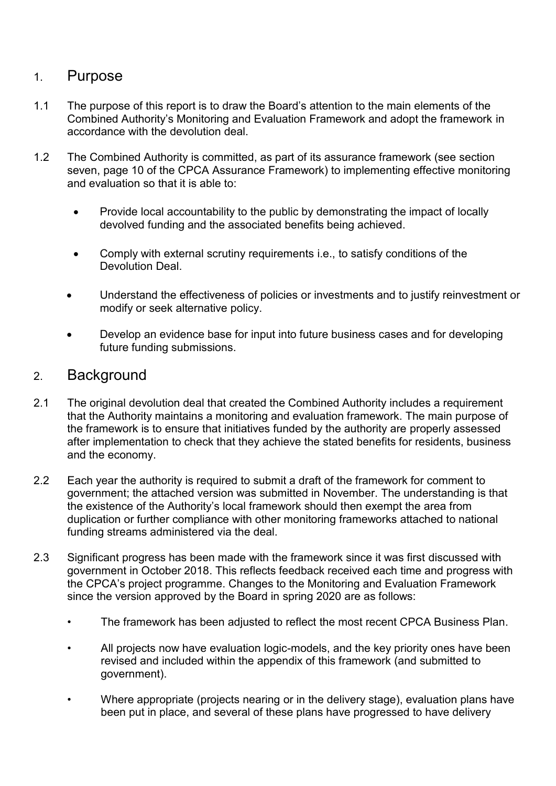### 1. Purpose

- 1.1 The purpose of this report is to draw the Board's attention to the main elements of the Combined Authority's Monitoring and Evaluation Framework and adopt the framework in accordance with the devolution deal.
- 1.2 The Combined Authority is committed, as part of its assurance framework (see section seven, page 10 of the CPCA Assurance Framework) to implementing effective monitoring and evaluation so that it is able to:
	- Provide local accountability to the public by demonstrating the impact of locally devolved funding and the associated benefits being achieved.
	- Comply with external scrutiny requirements i.e., to satisfy conditions of the Devolution Deal.
	- Understand the effectiveness of policies or investments and to justify reinvestment or modify or seek alternative policy.
	- Develop an evidence base for input into future business cases and for developing future funding submissions.

### 2. Background

- 2.1 The original devolution deal that created the Combined Authority includes a requirement that the Authority maintains a monitoring and evaluation framework. The main purpose of the framework is to ensure that initiatives funded by the authority are properly assessed after implementation to check that they achieve the stated benefits for residents, business and the economy.
- 2.2 Each year the authority is required to submit a draft of the framework for comment to government; the attached version was submitted in November. The understanding is that the existence of the Authority's local framework should then exempt the area from duplication or further compliance with other monitoring frameworks attached to national funding streams administered via the deal.
- 2.3 Significant progress has been made with the framework since it was first discussed with government in October 2018. This reflects feedback received each time and progress with the CPCA's project programme. Changes to the Monitoring and Evaluation Framework since the version approved by the Board in spring 2020 are as follows:
	- The framework has been adjusted to reflect the most recent CPCA Business Plan.
	- All projects now have evaluation logic-models, and the key priority ones have been revised and included within the appendix of this framework (and submitted to government).
	- Where appropriate (projects nearing or in the delivery stage), evaluation plans have been put in place, and several of these plans have progressed to have delivery